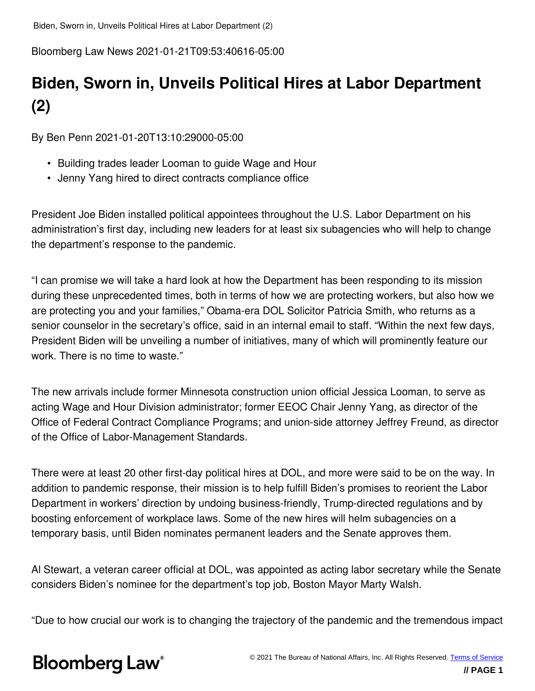Bloomberg Law News 2021-01-21T09:53:40616-05:00

## **Biden, Sworn in, Unveils Political Hires at Labor Department (2)**

By Ben Penn 2021-01-20T13:10:29000-05:00

- Building trades leader Looman to guide Wage and Hour
- Jenny Yang hired to direct contracts compliance office

President Joe Biden installed political appointees throughout the U.S. Labor Department on his administration's first day, including new leaders for at least six subagencies who will help to change the department's response to the pandemic.

"I can promise we will take a hard look at how the Department has been responding to its mission during these unprecedented times, both in terms of how we are protecting workers, but also how we are protecting you and your families," Obama-era DOL Solicitor Patricia Smith, who returns as a senior counselor in the secretary's office, said in an internal email to staff. "Within the next few days, President Biden will be unveiling a number of initiatives, many of which will prominently feature our work. There is no time to waste."

The new arrivals include former Minnesota construction union official Jessica Looman, to serve as acting Wage and Hour Division administrator; former EEOC Chair Jenny Yang, as director of the Office of Federal Contract Compliance Programs; and union-side attorney Jeffrey Freund, as director of the Office of Labor-Management Standards.

There were at least 20 other first-day political hires at DOL, and more were said to be on the way. In addition to pandemic response, their mission is to help fulfill Biden's promises to reorient the Labor Department in workers' direction by undoing business-friendly, Trump-directed regulations and by boosting enforcement of workplace laws. Some of the new hires will helm subagencies on a temporary basis, until Biden nominates permanent leaders and the Senate approves them.

Al Stewart, a veteran career official at DOL, was appointed as acting labor secretary while the Senate considers Biden's nominee for the department's top job, Boston Mayor Marty Walsh.

"Due to how crucial our work is to changing the trajectory of the pandemic and the tremendous impact

# **Bloomberg Law**<sup>®</sup>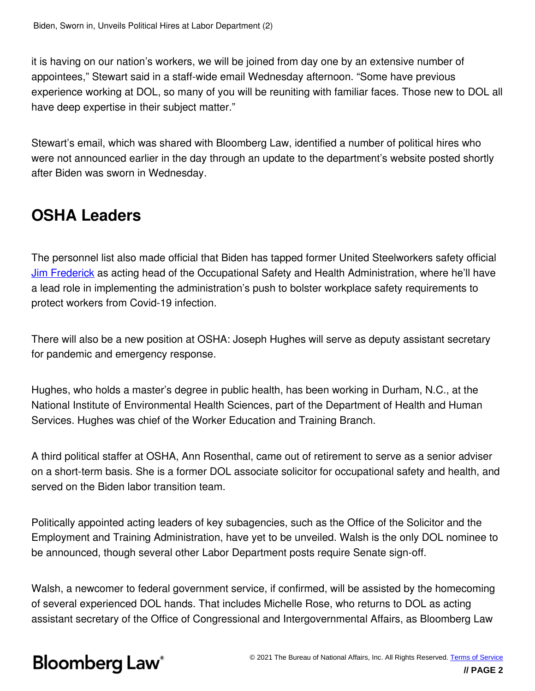it is having on our nation's workers, we will be joined from day one by an extensive number of appointees," Stewart said in a staff-wide email Wednesday afternoon. "Some have previous experience working at DOL, so many of you will be reuniting with familiar faces. Those new to DOL all have deep expertise in their subject matter."

Stewart's email, which was shared with Bloomberg Law, identified a number of political hires who were not announced earlier in the day through an update to the department's website posted shortly after Biden was sworn in Wednesday.

## **OSHA Leaders**

The personnel list also made official that Biden has tapped former United Steelworkers safety official [Jim Frederick](/citation/BNA 000001771bc8d1a9aff79fdd9fb00000?bna_news_filter=true) as acting head of the Occupational Safety and Health Administration, where he'll have a lead role in implementing the administration's push to bolster workplace safety requirements to protect workers from Covid-19 infection.

There will also be a new position at OSHA: Joseph Hughes will serve as deputy assistant secretary for pandemic and emergency response.

Hughes, who holds a master's degree in public health, has been working in Durham, N.C., at the National Institute of Environmental Health Sciences, part of the Department of Health and Human Services. Hughes was chief of the Worker Education and Training Branch.

A third political staffer at OSHA, Ann Rosenthal, came out of retirement to serve as a senior adviser on a short-term basis. She is a former DOL associate solicitor for occupational safety and health, and served on the Biden labor transition team.

Politically appointed acting leaders of key subagencies, such as the Office of the Solicitor and the Employment and Training Administration, have yet to be unveiled. Walsh is the only DOL nominee to be announced, though several other Labor Department posts require Senate sign-off.

Walsh, a newcomer to federal government service, if confirmed, will be assisted by the homecoming of several experienced DOL hands. That includes Michelle Rose, who returns to DOL as acting assistant secretary of the Office of Congressional and Intergovernmental Affairs, as Bloomberg Law

# **Bloomberg Law**<sup>®</sup>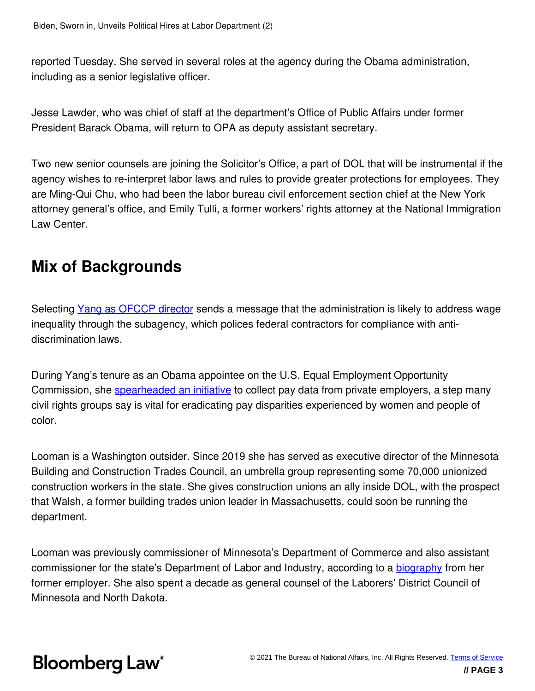reported Tuesday. She served in several roles at the agency during the Obama administration, including as a senior legislative officer.

Jesse Lawder, who was chief of staff at the department's Office of Public Affairs under former President Barack Obama, will return to OPA as deputy assistant secretary.

Two new senior counsels are joining the Solicitor's Office, a part of DOL that will be instrumental if the agency wishes to re-interpret labor laws and rules to provide greater protections for employees. They are Ming-Qui Chu, who had been the labor bureau civil enforcement section chief at the New York attorney general's office, and Emily Tulli, a former workers' rights attorney at the National Immigration Law Center.

### **Mix of Backgrounds**

Selecting [Yang as OFCCP director](/citation/BNA 00000176fcdcd96ea5f6fffe73e20001?bna_news_filter=true) sends a message that the administration is likely to address wage inequality through the subagency, which polices federal contractors for compliance with antidiscrimination laws.

During Yang's tenure as an Obama appointee on the U.S. Equal Employment Opportunity Commission, she [spearheaded an initiative](/citation/BNA 00000158dff0dd94a35fdff628f30000?bna_news_filter=true) to collect pay data from private employers, a step many civil rights groups say is vital for eradicating pay disparities experienced by women and people of color.

Looman is a Washington outsider. Since 2019 she has served as executive director of the Minnesota Building and Construction Trades Council, an umbrella group representing some 70,000 unionized construction workers in the state. She gives construction unions an ally inside DOL, with the prospect that Walsh, a former building trades union leader in Massachusetts, could soon be running the department.

Looman was previously commissioner of Minnesota's Department of Commerce and also assistant commissioner for the state's Department of Labor and Industry, according to a [biography](https://mntrades.org/2019/02/25/jessica-looman-joins-mn-state-building-and-construction-trades-council-as-its-executive-director/) from her former employer. She also spent a decade as general counsel of the Laborers' District Council of Minnesota and North Dakota.

## **Bloomberg Law®**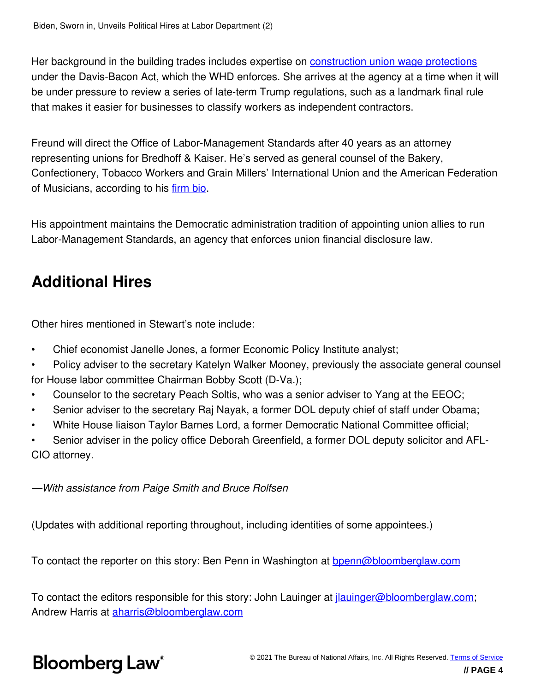Her background in the building trades includes expertise on **[construction union wage protections](/citation/BNA 00000176ff36d345a777ff3e94170001?bna_news_filter=true)** under the Davis-Bacon Act, which the WHD enforces. She arrives at the agency at a time when it will be under pressure to review a series of late-term Trump regulations, such as a landmark final rule that makes it easier for businesses to classify workers as independent contractors.

Freund will direct the Office of Labor-Management Standards after 40 years as an attorney representing unions for Bredhoff & Kaiser. He's served as general counsel of the Bakery, Confectionery, Tobacco Workers and Grain Millers' International Union and the American Federation of Musicians, according to his [firm bio](http://www.bredhoff.com/attorneys/senior-counsel/jeffrey-r-freund/).

His appointment maintains the Democratic administration tradition of appointing union allies to run Labor-Management Standards, an agency that enforces union financial disclosure law.

### **Additional Hires**

Other hires mentioned in Stewart's note include:

- Chief economist Janelle Jones, a former Economic Policy Institute analyst;
- Policy adviser to the secretary Katelyn Walker Mooney, previously the associate general counsel for House labor committee Chairman Bobby Scott (D-Va.);
- Counselor to the secretary Peach Soltis, who was a senior adviser to Yang at the EEOC;
- Senior adviser to the secretary Raj Nayak, a former DOL deputy chief of staff under Obama;
- White House liaison Taylor Barnes Lord, a former Democratic National Committee official;

• Senior adviser in the policy office Deborah Greenfield, a former DOL deputy solicitor and AFL-CIO attorney.

*—With assistance from Paige Smith and Bruce Rolfsen*

(Updates with additional reporting throughout, including identities of some appointees.)

To contact the reporter on this story: Ben Penn in Washington at **[bpenn@bloomberglaw.com](mailto:bpenn@bloomberglaw.com)** 

To contact the editors responsible for this story: John Lauinger at *jlauinger@bloomberglaw.com*; Andrew Harris at [aharris@bloomberglaw.com](mailto:aharris@bloomberglaw.com)

# **Bloomberg Law**<sup>®</sup>